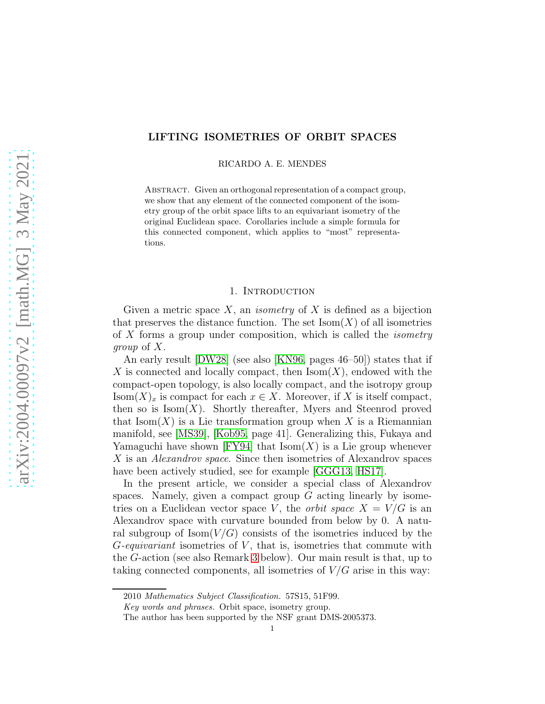# LIFTING ISOMETRIES OF ORBIT SPACES

RICARDO A. E. MENDES

ABSTRACT. Given an orthogonal representation of a compact group, we show that any element of the connected component of the isometry group of the orbit space lifts to an equivariant isometry of the original Euclidean space. Corollaries include a simple formula for this connected component, which applies to "most" representations.

## 1. INTRODUCTION

Given a metric space  $X$ , an *isometry* of  $X$  is defined as a bijection that preserves the distance function. The set  $\text{Isom}(X)$  of all isometries of X forms a group under composition, which is called the isometry group of X.

An early result [\[DW28\]](#page-7-0) (see also [\[KN96,](#page-7-1) pages 46–50]) states that if X is connected and locally compact, then  $\text{Isom}(X)$ , endowed with the compact-open topology, is also locally compact, and the isotropy group  $\text{Isom}(X)_x$  is compact for each  $x \in X$ . Moreover, if X is itself compact, then so is  $\text{Isom}(X)$ . Shortly thereafter, Myers and Steenrod proved that  $\text{Isom}(X)$  is a Lie transformation group when X is a Riemannian manifold, see [\[MS39\]](#page-8-0), [\[Kob95,](#page-7-2) page 41]. Generalizing this, Fukaya and Yamaguchi have shown  $[FY94]$  that  $Isom(X)$  is a Lie group whenever X is an *Alexandrov space*. Since then isometries of Alexandrov spaces have been actively studied, see for example [\[GGG13,](#page-7-4) [HS17\]](#page-7-5).

In the present article, we consider a special class of Alexandrov spaces. Namely, given a compact group  $G$  acting linearly by isometries on a Euclidean vector space V, the *orbit space*  $X = V/G$  is an Alexandrov space with curvature bounded from below by 0. A natural subgroup of  $\text{Isom}(V/G)$  consists of the isometries induced by the  $G$ -equivariant isometries of  $V$ , that is, isometries that commute with the G-action (see also Remark [3](#page-4-0) below). Our main result is that, up to taking connected components, all isometries of  $V/G$  arise in this way:

<sup>2010</sup> Mathematics Subject Classification. 57S15, 51F99.

Key words and phrases. Orbit space, isometry group.

The author has been supported by the NSF grant DMS-2005373.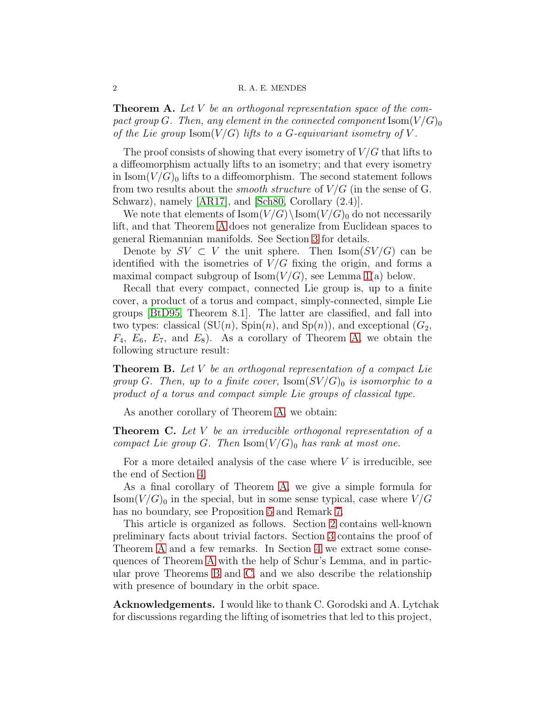#### 2 R. A. E. MENDES

<span id="page-1-0"></span>**Theorem A.** Let V be an orthogonal representation space of the compact group G. Then, any element in the connected component  $\text{Isom}(V/G)_0$ of the Lie group  $\text{Isom}(V/G)$  lifts to a G-equivariant isometry of V.

The proof consists of showing that every isometry of  $V/G$  that lifts to a diffeomorphism actually lifts to an isometry; and that every isometry in  $\text{Isom}(V/G)_0$  lifts to a diffeomorphism. The second statement follows from two results about the *smooth structure* of  $V/G$  (in the sense of G. Schwarz), namely [\[AR17\]](#page-7-6), and [\[Sch80,](#page-8-1) Corollary (2.4)].

We note that elements of  $\text{Isom}(V/G)\backslash \text{Isom}(V/G)_0$  do not necessarily lift, and that Theorem [A](#page-1-0) does not generalize from Euclidean spaces to general Riemannian manifolds. See Section [3](#page-2-0) for details.

Denote by  $SV \subset V$  the unit sphere. Then  $Isom(SV/G)$  can be identified with the isometries of  $V/G$  fixing the origin, and forms a maximal compact subgroup of  $\text{Isom}(V/G)$ , see Lemma [1\(](#page-2-1)a) below.

Recall that every compact, connected Lie group is, up to a finite cover, a product of a torus and compact, simply-connected, simple Lie groups [\[BtD95,](#page-7-7) Theorem 8.1]. The latter are classified, and fall into two types: classical  $(SU(n), Spin(n), and Sp(n))$ , and exceptional  $(G_2,$  $F_4$ ,  $E_6$ ,  $E_7$ , and  $E_8$ ). As a corollary of Theorem [A,](#page-1-0) we obtain the following structure result:

<span id="page-1-1"></span>**Theorem B.** Let V be an orthogonal representation of a compact Lie group G. Then, up to a finite cover,  $\text{Isom}(SV/G)_0$  is isomorphic to a product of a torus and compact simple Lie groups of classical type.

As another corollary of Theorem [A,](#page-1-0) we obtain:

<span id="page-1-2"></span>**Theorem C.** Let V be an irreducible orthogonal representation of a compact Lie group G. Then  $\text{Isom}(V/G)_0$  has rank at most one.

For a more detailed analysis of the case where  $V$  is irreducible, see the end of Section [4.](#page-4-1)

As a final corollary of Theorem [A,](#page-1-0) we give a simple formula for  $\text{Isom}(V/G)_0$  in the special, but in some sense typical, case where  $V/G$ has no boundary, see Proposition [5](#page-6-0) and Remark [7.](#page-6-1)

This article is organized as follows. Section [2](#page-2-2) contains well-known preliminary facts about trivial factors. Section [3](#page-2-0) contains the proof of Theorem [A](#page-1-0) and a few remarks. In Section [4](#page-4-1) we extract some consequences of Theorem [A](#page-1-0) with the help of Schur's Lemma, and in particular prove Theorems [B](#page-1-1) and [C,](#page-1-2) and we also describe the relationship with presence of boundary in the orbit space.

Acknowledgements. I would like to thank C. Gorodski and A. Lytchak for discussions regarding the lifting of isometries that led to this project,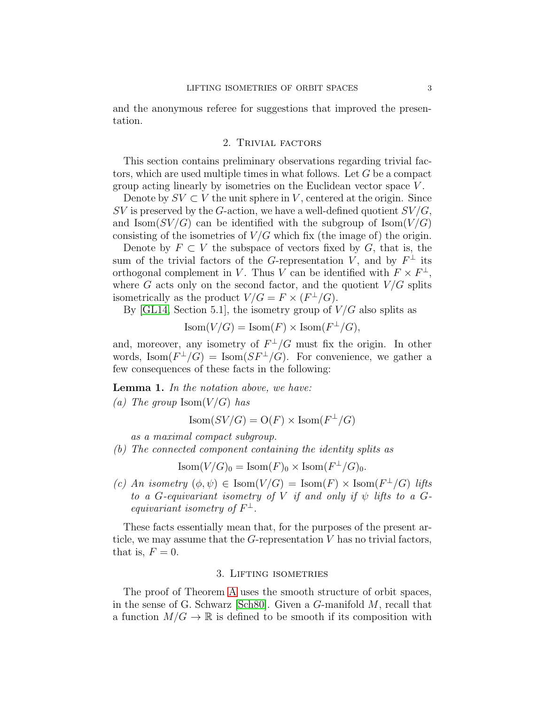<span id="page-2-2"></span>and the anonymous referee for suggestions that improved the presentation.

## 2. Trivial factors

This section contains preliminary observations regarding trivial factors, which are used multiple times in what follows. Let G be a compact group acting linearly by isometries on the Euclidean vector space V .

Denote by  $SV \subset V$  the unit sphere in V, centered at the origin. Since  $SV$  is preserved by the G-action, we have a well-defined quotient  $SV/G$ , and  $\text{Isom}(SV/G)$  can be identified with the subgroup of  $\text{Isom}(V/G)$ consisting of the isometries of  $V/G$  which fix (the image of) the origin.

Denote by  $F \subset V$  the subspace of vectors fixed by G, that is, the sum of the trivial factors of the G-representation V, and by  $F^{\perp}$  its orthogonal complement in V. Thus V can be identified with  $F \times F^{\perp}$ , where  $G$  acts only on the second factor, and the quotient  $V/G$  splits isometrically as the product  $V/G = F \times (F^{\perp}/G)$ .

By [\[GL14,](#page-7-8) Section 5.1], the isometry group of  $V/G$  also splits as

 $\text{Isom}(V/G) = \text{Isom}(F) \times \text{Isom}(F^{\perp}/G),$ 

and, moreover, any isometry of  $F^{\perp}/G$  must fix the origin. In other words,  $\text{Isom}(F^{\perp}/G) = \text{Isom}(SF^{\perp}/G)$ . For convenience, we gather a few consequences of these facts in the following:

<span id="page-2-1"></span>Lemma 1. In the notation above, we have:

(a) The group  $\text{Isom}(V/G)$  has

 $\text{Isom}(SV/G) = \text{O}(F) \times \text{Isom}(F^{\perp}/G)$ 

as a maximal compact subgroup.

(b) The connected component containing the identity splits as

 $\text{Isom}(V/G)_0 = \text{Isom}(F)_0 \times \text{Isom}(F^{\perp}/G)_0.$ 

(c) An isometry  $(\phi, \psi) \in \text{Isom}(V/G) = \text{Isom}(F) \times \text{Isom}(F^{\perp}/G)$  lifts to a G-equivariant isometry of V if and only if  $\psi$  lifts to a Gequivariant isometry of  $F^{\perp}$ .

These facts essentially mean that, for the purposes of the present article, we may assume that the  $G$ -representation  $V$  has no trivial factors, that is,  $F = 0$ .

## 3. Lifting isometries

<span id="page-2-0"></span>The proof of Theorem [A](#page-1-0) uses the smooth structure of orbit spaces, in the sense of G. Schwarz [\[Sch80\]](#page-8-1). Given a G-manifold M, recall that a function  $M/G \to \mathbb{R}$  is defined to be smooth if its composition with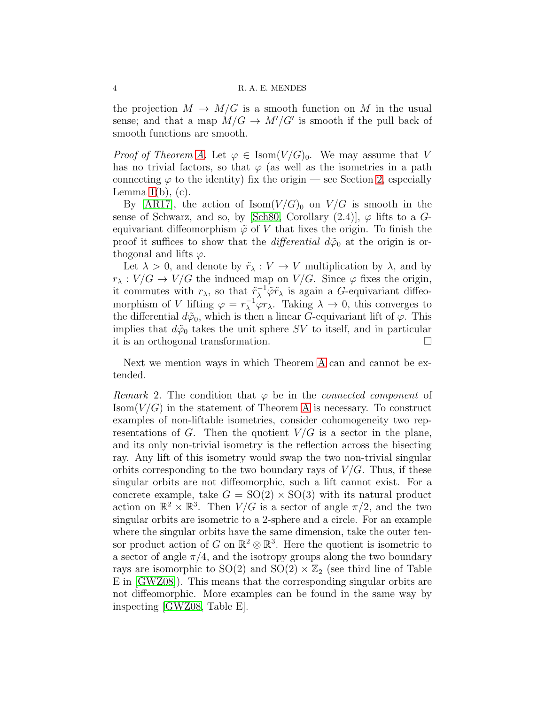### 4 R. A. E. MENDES

the projection  $M \to M/G$  is a smooth function on M in the usual sense; and that a map  $M/G \to M'/G'$  is smooth if the pull back of smooth functions are smooth.

*Proof of Theorem [A.](#page-1-0)* Let  $\varphi \in \text{Isom}(V/G)_0$ . We may assume that V has no trivial factors, so that  $\varphi$  (as well as the isometries in a path connecting  $\varphi$  to the identity) fix the origin — see Section [2,](#page-2-2) especially Lemma  $1(b)$ ,  $(c)$ .

By [\[AR17\]](#page-7-6), the action of Isom $(V/G)_0$  on  $V/G$  is smooth in the sense of Schwarz, and so, by [\[Sch80,](#page-8-1) Corollary  $(2.4)$ ],  $\varphi$  lifts to a Gequivariant diffeomorphism  $\tilde{\varphi}$  of V that fixes the origin. To finish the proof it suffices to show that the *differential*  $d\tilde{\varphi}_0$  at the origin is orthogonal and lifts  $\varphi$ .

Let  $\lambda > 0$ , and denote by  $\tilde{r}_{\lambda}: V \to V$  multiplication by  $\lambda$ , and by  $r_{\lambda}: V/G \to V/G$  the induced map on  $V/G$ . Since  $\varphi$  fixes the origin, it commutes with  $r_{\lambda}$ , so that  $\tilde{r}_{\lambda}^{-1} \tilde{\varphi} \tilde{r}_{\lambda}$  is again a G-equivariant diffeomorphism of V lifting  $\varphi = r_{\lambda}^{-1} \varphi r_{\lambda}$ . Taking  $\lambda \to 0$ , this converges to the differential  $d\tilde{\varphi}_0$ , which is then a linear G-equivariant lift of  $\varphi$ . This implies that  $d\tilde{\varphi}_0$  takes the unit sphere SV to itself, and in particular it is an orthogonal transformation.

Next we mention ways in which Theorem [A](#page-1-0) can and cannot be extended.

<span id="page-3-0"></span>Remark 2. The condition that  $\varphi$  be in the *connected component* of  $\text{Isom}(V/G)$  in the statement of Theorem [A](#page-1-0) is necessary. To construct examples of non-liftable isometries, consider cohomogeneity two representations of G. Then the quotient  $V/G$  is a sector in the plane, and its only non-trivial isometry is the reflection across the bisecting ray. Any lift of this isometry would swap the two non-trivial singular orbits corresponding to the two boundary rays of  $V/G$ . Thus, if these singular orbits are not diffeomorphic, such a lift cannot exist. For a concrete example, take  $G = SO(2) \times SO(3)$  with its natural product action on  $\mathbb{R}^2 \times \mathbb{R}^3$ . Then  $V/G$  is a sector of angle  $\pi/2$ , and the two singular orbits are isometric to a 2-sphere and a circle. For an example where the singular orbits have the same dimension, take the outer tensor product action of G on  $\mathbb{R}^2 \otimes \mathbb{R}^3$ . Here the quotient is isometric to a sector of angle  $\pi/4$ , and the isotropy groups along the two boundary rays are isomorphic to  $SO(2)$  and  $SO(2) \times \mathbb{Z}_2$  (see third line of Table E in [\[GWZ08\]](#page-7-9)). This means that the corresponding singular orbits are not diffeomorphic. More examples can be found in the same way by inspecting [\[GWZ08,](#page-7-9) Table E].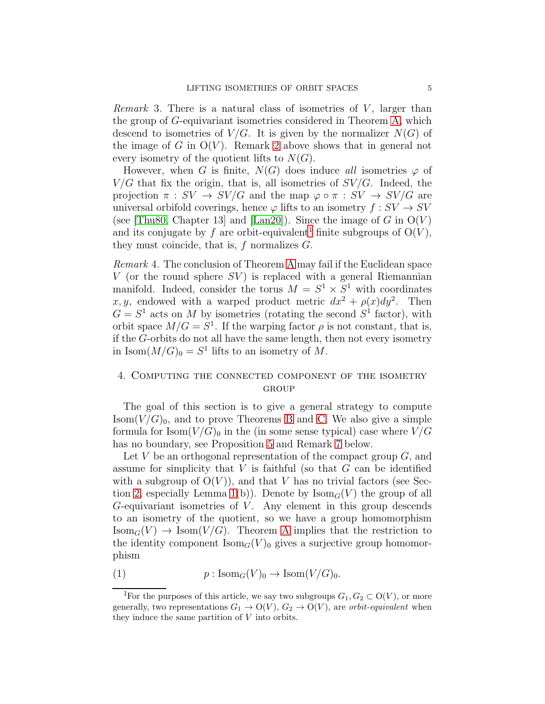<span id="page-4-0"></span>*Remark* 3. There is a natural class of isometries of  $V$ , larger than the group of G-equivariant isometries considered in Theorem [A,](#page-1-0) which descend to isometries of  $V/G$ . It is given by the normalizer  $N(G)$  of the image of G in  $O(V)$ . Remark [2](#page-3-0) above shows that in general not every isometry of the quotient lifts to  $N(G)$ .

However, when G is finite,  $N(G)$  does induce all isometries  $\varphi$  of  $V/G$  that fix the origin, that is, all isometries of  $SV/G$ . Indeed, the projection  $\pi : SV \to SV/G$  and the map  $\varphi \circ \pi : SV \to SV/G$  are universal orbifold coverings, hence  $\varphi$  lifts to an isometry  $f:SV \to SV$ (see [\[Thu80,](#page-8-2) Chapter 13] and [\[Lan20\]](#page-8-3)). Since the image of G in  $O(V)$ and its conjugate by f are orbit-equivalent<sup>[1](#page-4-2)</sup> finite subgroups of  $O(V)$ , they must coincide, that is,  $f$  normalizes  $G$ .

Remark 4. The conclusion of Theorem [A](#page-1-0) may fail if the Euclidean space V (or the round sphere  $SV$ ) is replaced with a general Riemannian manifold. Indeed, consider the torus  $M = S^1 \times S^1$  with coordinates x, y, endowed with a warped product metric  $dx^2 + \rho(x)dy^2$ . Then  $G = S<sup>1</sup>$  acts on M by isometries (rotating the second  $S<sup>1</sup>$  factor), with orbit space  $M/G = S<sup>1</sup>$ . If the warping factor  $\rho$  is not constant, that is, if the G-orbits do not all have the same length, then not every isometry in Isom $(M/G)_0 = S^1$  lifts to an isometry of M.

## <span id="page-4-1"></span>4. Computing the connected component of the isometry GROUP

The goal of this section is to give a general strategy to compute  $\text{Isom}(V/G)_0$ , and to prove Theorems [B](#page-1-1) and [C.](#page-1-2) We also give a simple formula for  $\text{Isom}(V/G)_0$  in the (in some sense typical) case where  $V/G$ has no boundary, see Proposition [5](#page-6-0) and Remark [7](#page-6-1) below.

Let V be an orthogonal representation of the compact group  $G$ , and assume for simplicity that  $V$  is faithful (so that  $G$  can be identified with a subgroup of  $O(V)$ , and that V has no trivial factors (see Sec-tion [2,](#page-2-2) especially Lemma [1\(](#page-2-1)b)). Denote by  $\text{Isom}_G(V)$  the group of all  $G$ -equivariant isometries of  $V$ . Any element in this group descends to an isometry of the quotient, so we have a group homomorphism  $\text{Isom}_G(V) \to \text{Isom}(V/G)$ . Theorem [A](#page-1-0) implies that the restriction to the identity component  $\text{Isom}_G(V)$  gives a surjective group homomorphism

<span id="page-4-3"></span>(1) 
$$
p: \text{Isom}_G(V)_0 \to \text{Isom}(V/G)_0.
$$

<span id="page-4-2"></span><sup>&</sup>lt;sup>1</sup>For the purposes of this article, we say two subgroups  $G_1, G_2 \subset O(V)$ , or more generally, two representations  $G_1 \rightarrow O(V)$ ,  $G_2 \rightarrow O(V)$ , are *orbit-equivalent* when they induce the same partition of V into orbits.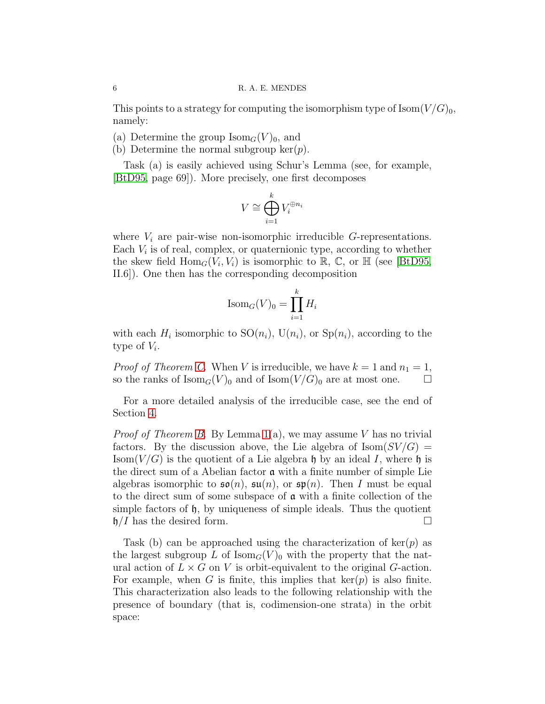This points to a strategy for computing the isomorphism type of  $\text{Isom}(V/G)_0$ , namely:

(a) Determine the group  $\text{Isom}_G(V)_0$ , and

(b) Determine the normal subgroup ker $(p)$ .

Task (a) is easily achieved using Schur's Lemma (see, for example, [\[BtD95,](#page-7-7) page 69]). More precisely, one first decomposes

$$
V \cong \bigoplus_{i=1}^k V_i^{\oplus n_i}
$$

where  $V_i$  are pair-wise non-isomorphic irreducible G-representations. Each  $V_i$  is of real, complex, or quaternionic type, according to whether the skew field  $\text{Hom}_G(V_i, V_i)$  is isomorphic to  $\mathbb{R}, \mathbb{C}$ , or  $\mathbb{H}$  (see [\[BtD95,](#page-7-7) II.6]). One then has the corresponding decomposition

$$
\text{Isom}_G(V)_0 = \prod_{i=1}^k H_i
$$

with each  $H_i$  isomorphic to  $SO(n_i)$ ,  $U(n_i)$ , or  $Sp(n_i)$ , according to the type of  $V_i$ .

*Proof of Theorem [C.](#page-1-2)* When V is irreducible, we have  $k = 1$  and  $n_1 = 1$ , so the ranks of  $\text{Isom}_G(V)_0$  and of  $\text{Isom}(V/G)_0$  are at most one.

For a more detailed analysis of the irreducible case, see the end of Section [4.](#page-4-1)

*Proof of Theorem [B.](#page-1-1)* By Lemma  $1(a)$ , we may assume V has no trivial factors. By the discussion above, the Lie algebra of  $\text{Isom}(SV/G)$ Isom( $V/G$ ) is the quotient of a Lie algebra h by an ideal I, where h is the direct sum of a Abelian factor a with a finite number of simple Lie algebras isomorphic to  $\mathfrak{so}(n)$ ,  $\mathfrak{su}(n)$ , or  $\mathfrak{sp}(n)$ . Then I must be equal to the direct sum of some subspace of a with a finite collection of the simple factors of  $\mathfrak{h}$ , by uniqueness of simple ideals. Thus the quotient  $\mathfrak{h}/I$  has the desired form.

Task (b) can be approached using the characterization of  $\ker(p)$  as the largest subgroup L of  $\text{Isom}_G(V)$  with the property that the natural action of  $L \times G$  on V is orbit-equivalent to the original G-action. For example, when G is finite, this implies that  $\ker(p)$  is also finite. This characterization also leads to the following relationship with the presence of boundary (that is, codimension-one strata) in the orbit space: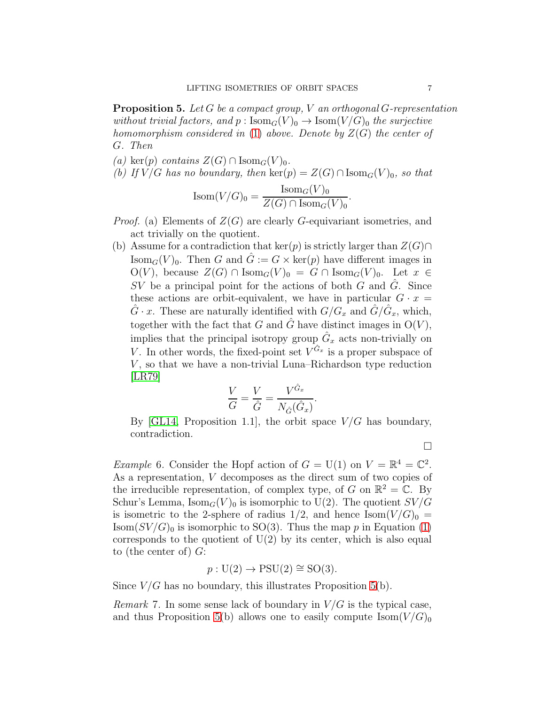<span id="page-6-0"></span>**Proposition 5.** Let G be a compact group, V an orthogonal G-representation without trivial factors, and  $p : Isom_G(V)_0 \to Isom(V/G)_0$  the surjective homomorphism considered in [\(1\)](#page-4-3) above. Denote by  $Z(G)$  the center of G. Then

- (a) ker(p) contains  $Z(G) \cap \text{Isom}_G(V)_0$ .
- (b) If  $V/G$  has no boundary, then  $\ker(p) = Z(G) \cap \text{Isom}_G(V)_{0}$ , so that

$$
\text{Isom}(V/G)_0 = \frac{\text{Isom}_G(V)_0}{Z(G) \cap \text{Isom}_G(V)_0}.
$$

- *Proof.* (a) Elements of  $Z(G)$  are clearly G-equivariant isometries, and act trivially on the quotient.
- (b) Assume for a contradiction that ker(p) is strictly larger than  $Z(G) \cap$ Isom<sub>G</sub> $(V)_0$ . Then G and  $\hat{G} := G \times \text{ker}(p)$  have different images in  $O(V)$ , because  $Z(G) \cap \text{Isom}_G(V)_0 = G \cap \text{Isom}_G(V)_0$ . Let  $x \in$ SV be a principal point for the actions of both G and  $\hat{G}$ . Since these actions are orbit-equivalent, we have in particular  $G \cdot x =$  $\hat{G} \cdot x$ . These are naturally identified with  $G/G_x$  and  $\hat{G}/\hat{G}_x$ , which, together with the fact that G and  $\hat{G}$  have distinct images in  $O(V)$ , implies that the principal isotropy group  $\hat{G}_x$  acts non-trivially on V. In other words, the fixed-point set  $V^{\hat{G}_x}$  is a proper subspace of  $V$ , so that we have a non-trivial Luna–Richardson type reduction  $|LR79|$

$$
\frac{V}{G} = \frac{V}{\hat{G}} = \frac{V^{\hat{G}_x}}{N_{\hat{G}}(\hat{G}_x)}.
$$

By [\[GL14,](#page-7-8) Proposition 1.1], the orbit space  $V/G$  has boundary, contradiction.

 $\Box$ 

*Example* 6. Consider the Hopf action of  $G = U(1)$  on  $V = \mathbb{R}^4 = \mathbb{C}^2$ . As a representation, V decomposes as the direct sum of two copies of the irreducible representation, of complex type, of G on  $\mathbb{R}^2 = \mathbb{C}$ . By Schur's Lemma,  $\text{Isom}_G(V)_0$  is isomorphic to U(2). The quotient  $SV/G$ is isometric to the 2-sphere of radius  $1/2$ , and hence  $\text{Isom}(V/G)_0 =$  $\text{Isom}(SV/G)_0$  is isomorphic to SO(3). Thus the map p in Equation [\(1\)](#page-4-3) corresponds to the quotient of  $U(2)$  by its center, which is also equal to (the center of)  $G$ :

$$
p: U(2) \to \text{PSU}(2) \cong \text{SO}(3).
$$

Since  $V/G$  has no boundary, this illustrates Proposition [5\(](#page-6-0)b).

<span id="page-6-1"></span>*Remark* 7. In some sense lack of boundary in  $V/G$  is the typical case, and thus Proposition [5\(](#page-6-0)b) allows one to easily compute  $\text{Isom}(V/G)_0$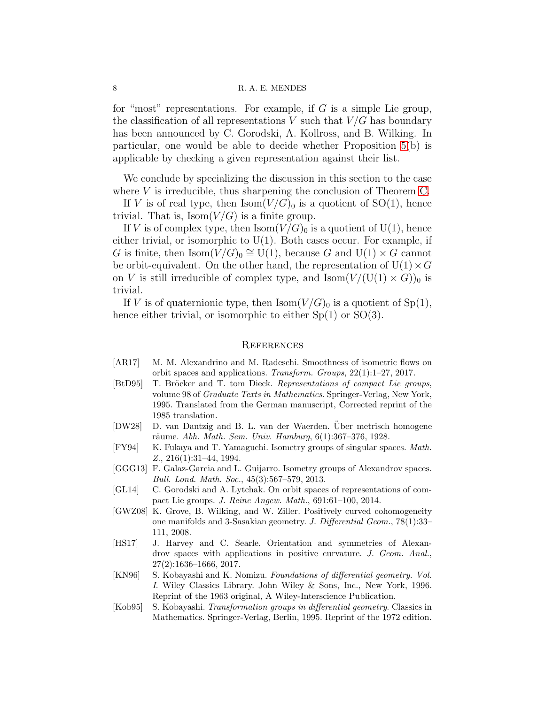### 8 R. A. E. MENDES

for "most" representations. For example, if  $G$  is a simple Lie group, the classification of all representations V such that  $V/G$  has boundary has been announced by C. Gorodski, A. Kollross, and B. Wilking. In particular, one would be able to decide whether Proposition [5\(](#page-6-0)b) is applicable by checking a given representation against their list.

We conclude by specializing the discussion in this section to the case where V is irreducible, thus sharpening the conclusion of Theorem [C.](#page-1-2)

If V is of real type, then  $\text{Isom}(V/G)_0$  is a quotient of  $SO(1)$ , hence trivial. That is,  $\text{Isom}(V/G)$  is a finite group.

If V is of complex type, then  $\text{Isom}(V/G)_0$  is a quotient of  $U(1)$ , hence either trivial, or isomorphic to  $U(1)$ . Both cases occur. For example, if G is finite, then  $\text{Isom}(\hat{V}/G)_0 \cong \text{U}(1)$ , because G and  $\text{U}(1) \times G$  cannot be orbit-equivalent. On the other hand, the representation of  $U(1) \times G$ on V is still irreducible of complex type, and  $\text{Isom}(V/(U(1) \times G))_0$  is trivial.

If V is of quaternionic type, then  $\text{Isom}(V/G)_0$  is a quotient of  $\text{Sp}(1)$ , hence either trivial, or isomorphic to either  $Sp(1)$  or  $SO(3)$ .

#### **REFERENCES**

- <span id="page-7-6"></span>[AR17] M. M. Alexandrino and M. Radeschi. Smoothness of isometric flows on orbit spaces and applications. Transform. Groups, 22(1):1–27, 2017.
- <span id="page-7-7"></span>[BtD95] T. Bröcker and T. tom Dieck. Representations of compact Lie groups, volume 98 of Graduate Texts in Mathematics. Springer-Verlag, New York, 1995. Translated from the German manuscript, Corrected reprint of the 1985 translation.
- <span id="page-7-0"></span>[DW28] D. van Dantzig and B. L. van der Waerden. Uber metrisch homogene räume. Abh. Math. Sem. Univ. Hamburg,  $6(1):367-376$ , 1928.
- <span id="page-7-3"></span>[FY94] K. Fukaya and T. Yamaguchi. Isometry groups of singular spaces. Math. Z., 216(1):31–44, 1994.
- <span id="page-7-4"></span>[GGG13] F. Galaz-Garcia and L. Guijarro. Isometry groups of Alexandrov spaces. Bull. Lond. Math. Soc., 45(3):567–579, 2013.
- <span id="page-7-8"></span>[GL14] C. Gorodski and A. Lytchak. On orbit spaces of representations of compact Lie groups. J. Reine Angew. Math., 691:61–100, 2014.
- <span id="page-7-9"></span>[GWZ08] K. Grove, B. Wilking, and W. Ziller. Positively curved cohomogeneity one manifolds and 3-Sasakian geometry. J. Differential Geom., 78(1):33– 111, 2008.
- <span id="page-7-5"></span>[HS17] J. Harvey and C. Searle. Orientation and symmetries of Alexandrov spaces with applications in positive curvature. J. Geom. Anal., 27(2):1636–1666, 2017.
- <span id="page-7-1"></span>[KN96] S. Kobayashi and K. Nomizu. Foundations of differential geometry. Vol. I. Wiley Classics Library. John Wiley & Sons, Inc., New York, 1996. Reprint of the 1963 original, A Wiley-Interscience Publication.
- <span id="page-7-2"></span>[Kob95] S. Kobayashi. Transformation groups in differential geometry. Classics in Mathematics. Springer-Verlag, Berlin, 1995. Reprint of the 1972 edition.